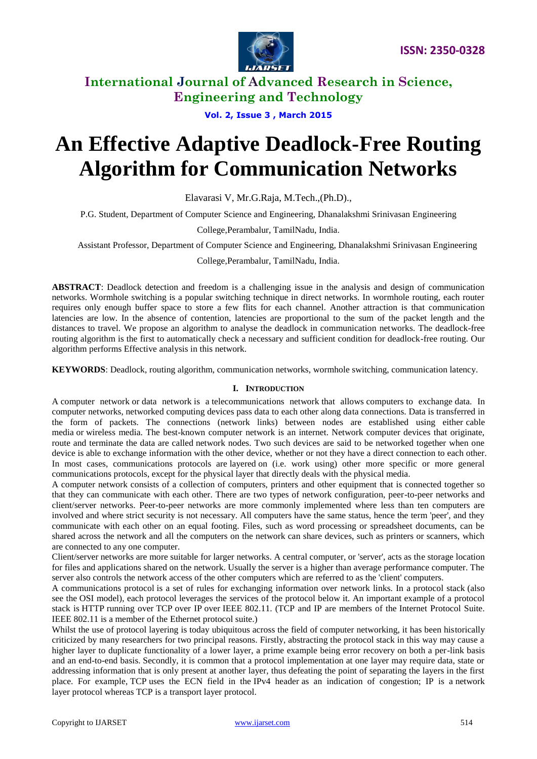

**Vol. 2, Issue 3 , March 2015**

# **An Effective Adaptive Deadlock-Free Routing Algorithm for Communication Networks**

Elavarasi V, Mr.G.Raja, M.Tech.,(Ph.D).,

P.G. Student, Department of Computer Science and Engineering, Dhanalakshmi Srinivasan Engineering

College,Perambalur, TamilNadu, India.

Assistant Professor, Department of Computer Science and Engineering, Dhanalakshmi Srinivasan Engineering

College,Perambalur, TamilNadu, India.

**ABSTRACT**: Deadlock detection and freedom is a challenging issue in the analysis and design of communication networks. Wormhole switching is a popular switching technique in direct networks. In wormhole routing, each router requires only enough buffer space to store a few flits for each channel. Another attraction is that communication latencies are low. In the absence of contention, latencies are proportional to the sum of the packet length and the distances to travel. We propose an algorithm to analyse the deadlock in communication networks. The deadlock-free routing algorithm is the first to automatically check a necessary and sufficient condition for deadlock-free routing. Our algorithm performs Effective analysis in this network.

**KEYWORDS**: Deadlock, routing algorithm, communication networks, wormhole switching, communication latency.

## **I. INTRODUCTION**

A computer network or data network is a telecommunications network that allows computers to exchange data. In computer networks, networked computing devices pass data to each other along data connections. Data is transferred in the form of packets. The connections (network links) between nodes are established using either cable media or wireless media. The best-known computer network is an internet. Network computer devices that originate, route and terminate the data are called network nodes. Two such devices are said to be networked together when one device is able to exchange information with the other device, whether or not they have a direct connection to each other. In most cases, communications protocols are layered on (i.e. work using) other more specific or more general communications protocols, except for the physical layer that directly deals with the physical media.

A computer network consists of a collection of computers, printers and other equipment that is connected together so that they can communicate with each other. There are two types of network configuration, peer-to-peer networks and client/server networks. Peer-to-peer networks are more commonly implemented where less than ten computers are involved and where strict security is not necessary. All computers have the same status, hence the term 'peer', and they communicate with each other on an equal footing. Files, such as word processing or spreadsheet documents, can be shared across the network and all the computers on the network can share devices, such as printers or scanners, which are connected to any one computer.

Client/server networks are more suitable for larger networks. A central computer, or 'server', acts as the storage location for files and applications shared on the network. Usually the server is a higher than average performance computer. The server also controls the network access of the other computers which are referred to as the 'client' computers.

A communications protocol is a set of rules for exchanging information over network links. In a protocol stack (also see the OSI model), each protocol leverages the services of the protocol below it. An important example of a protocol stack is HTTP running over TCP over IP over IEEE 802.11. (TCP and IP are members of the Internet Protocol Suite. IEEE 802.11 is a member of the Ethernet protocol suite.)

Whilst the use of protocol layering is today ubiquitous across the field of computer networking, it has been historically criticized by many researchers for two principal reasons. Firstly, abstracting the protocol stack in this way may cause a higher layer to duplicate functionality of a lower layer, a prime example being error recovery on both a per-link basis and an end-to-end basis. Secondly, it is common that a protocol implementation at one layer may require data, state or addressing information that is only present at another layer, thus defeating the point of separating the layers in the first place. For example, TCP uses the ECN field in the IPv4 header as an indication of congestion; IP is a network layer protocol whereas TCP is a transport layer protocol.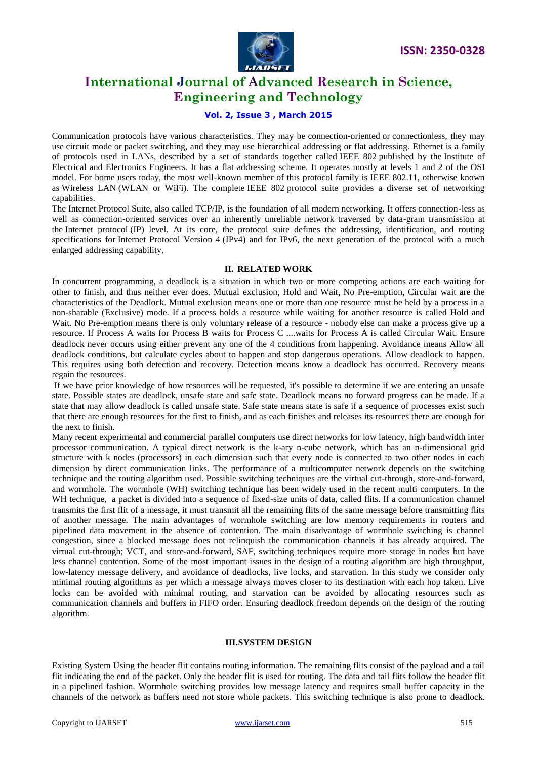

# **Vol. 2, Issue 3 , March 2015**

Communication protocols have various characteristics. They may be connection-oriented or connectionless, they may use circuit mode or packet switching, and they may use hierarchical addressing or flat addressing. Ethernet is a family of protocols used in LANs, described by a set of standards together called IEEE 802 published by the Institute of Electrical and Electronics Engineers. It has a flat addressing scheme. It operates mostly at levels 1 and 2 of the OSI model. For home users today, the most well-known member of this protocol family is IEEE 802.11, otherwise known as Wireless LAN (WLAN or WiFi). The complete IEEE 802 protocol suite provides a diverse set of networking capabilities.

The Internet Protocol Suite, also called TCP/IP, is the foundation of all modern networking. It offers connection-less as well as connection-oriented services over an inherently unreliable network traversed by data-gram transmission at the Internet protocol (IP) level. At its core, the protocol suite defines the addressing, identification, and routing specifications for Internet Protocol Version 4 (IPv4) and for IPv6, the next generation of the protocol with a much enlarged addressing capability.

#### **II. RELATED WORK**

In concurrent programming, a deadlock is a situation in which two or more competing actions are each waiting for other to finish, and thus neither ever does. Mutual exclusion, Hold and Wait, No Pre-emption, Circular wait are the characteristics of the Deadlock. Mutual exclusion means one or more than one resource must be held by a process in a non-sharable (Exclusive) mode. If a process holds a resource while waiting for another resource is called Hold and Wait. No Pre-emption means **t**here is only voluntary release of a resource - nobody else can make a process give up a resource. If Process A waits for Process B waits for Process C ....waits for Process A is called Circular Wait. Ensure deadlock never occurs using either prevent any one of the 4 conditions from happening. Avoidance means Allow all deadlock conditions, but calculate cycles about to happen and stop dangerous operations. Allow deadlock to happen. This requires using both detection and recovery. Detection means know a deadlock has occurred. Recovery means regain the resources.

If we have prior knowledge of how resources will be requested, it's possible to determine if we are entering an unsafe state. Possible states are deadlock, unsafe state and safe state. Deadlock means no forward progress can be made. If a state that may allow deadlock is called unsafe state. Safe state means state is safe if a sequence of processes exist such that there are enough resources for the first to finish, and as each finishes and releases its resources there are enough for the next to finish.

Many recent experimental and commercial parallel computers use direct networks for low latency, high bandwidth inter processor communication. A typical direct network is the k-ary n-cube network, which has an n-dimensional grid structure with k nodes (processors) in each dimension such that every node is connected to two other nodes in each dimension by direct communication links. The performance of a multicomputer network depends on the switching technique and the routing algorithm used. Possible switching techniques are the virtual cut-through, store-and-forward, and wormhole. The wormhole (WH) switching technique has been widely used in the recent multi computers. In the WH technique, a packet is divided into a sequence of fixed-size units of data, called flits. If a communication channel transmits the first flit of a message, it must transmit all the remaining flits of the same message before transmitting flits of another message. The main advantages of wormhole switching are low memory requirements in routers and pipelined data movement in the absence of contention. The main disadvantage of wormhole switching is channel congestion, since a blocked message does not relinquish the communication channels it has already acquired. The virtual cut-through; VCT, and store-and-forward, SAF, switching techniques require more storage in nodes but have less channel contention. Some of the most important issues in the design of a routing algorithm are high throughput, low-latency message delivery, and avoidance of deadlocks, live locks, and starvation. In this study we consider only minimal routing algorithms as per which a message always moves closer to its destination with each hop taken. Live locks can be avoided with minimal routing, and starvation can be avoided by allocating resources such as communication channels and buffers in FIFO order. Ensuring deadlock freedom depends on the design of the routing algorithm.

#### **III.SYSTEM DESIGN**

Existing System Using **t**he header flit contains routing information. The remaining flits consist of the payload and a tail flit indicating the end of the packet. Only the header flit is used for routing. The data and tail flits follow the header flit in a pipelined fashion. Wormhole switching provides low message latency and requires small buffer capacity in the channels of the network as buffers need not store whole packets. This switching technique is also prone to deadlock.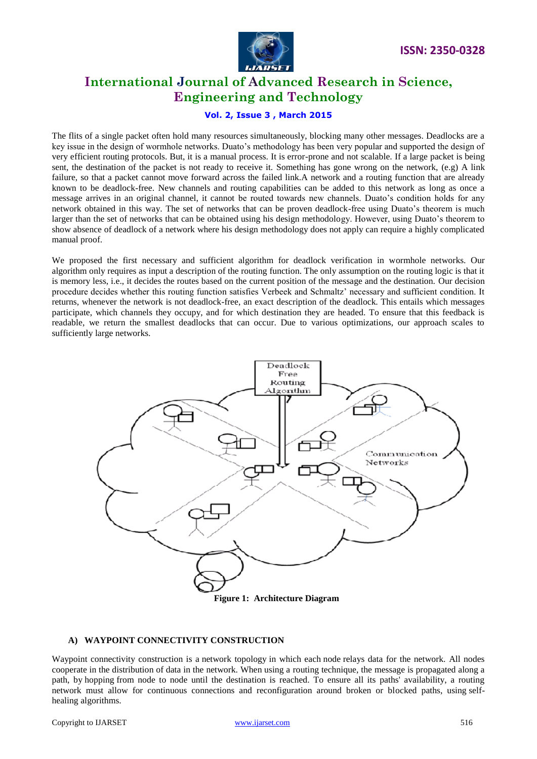



# **Vol. 2, Issue 3 , March 2015**

The flits of a single packet often hold many resources simultaneously, blocking many other messages. Deadlocks are a key issue in the design of wormhole networks. Duato"s methodology has been very popular and supported the design of very efficient routing protocols. But, it is a manual process. It is error-prone and not scalable. If a large packet is being sent, the destination of the packet is not ready to receive it. Something has gone wrong on the network, (e.g) A link failure, so that a packet cannot move forward across the failed link.A network and a routing function that are already known to be deadlock-free. New channels and routing capabilities can be added to this network as long as once a message arrives in an original channel, it cannot be routed towards new channels. Duato"s condition holds for any network obtained in this way. The set of networks that can be proven deadlock-free using Duato's theorem is much larger than the set of networks that can be obtained using his design methodology. However, using Duato"s theorem to show absence of deadlock of a network where his design methodology does not apply can require a highly complicated manual proof.

We proposed the first necessary and sufficient algorithm for deadlock verification in wormhole networks. Our algorithm only requires as input a description of the routing function. The only assumption on the routing logic is that it is memory less, i.e., it decides the routes based on the current position of the message and the destination. Our decision procedure decides whether this routing function satisfies Verbeek and Schmaltz" necessary and sufficient condition. It returns, whenever the network is not deadlock-free, an exact description of the deadlock. This entails which messages participate, which channels they occupy, and for which destination they are headed. To ensure that this feedback is readable, we return the smallest deadlocks that can occur. Due to various optimizations, our approach scales to sufficiently large networks.



## **A) WAYPOINT CONNECTIVITY CONSTRUCTION**

Waypoint connectivity construction is a network topology in which each node relays data for the network. All nodes cooperate in the distribution of data in the network. When using a routing technique, the message is propagated along a path, by hopping from node to node until the destination is reached. To ensure all its paths' availability, a routing network must allow for continuous connections and reconfiguration around broken or blocked paths, using selfhealing algorithms.